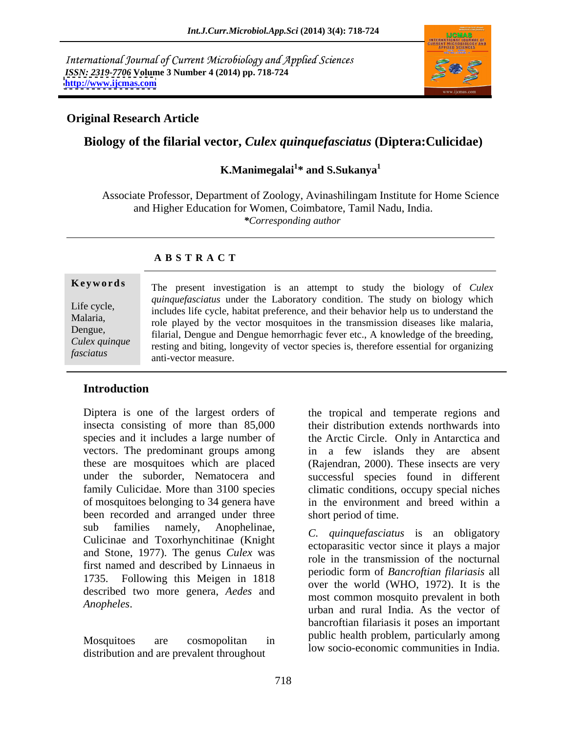International Journal of Current Microbiology and Applied Sciences *ISSN: 2319-7706* **Volume 3 Number 4 (2014) pp. 718-724 <http://www.ijcmas.com>**



#### **Original Research Article**

### **Biology of the filarial vector,** *Culex quinquefasciatus* **(Diptera:Culicidae)**

#### **K.Manimegalai<sup>1</sup> \* and S.Sukanya<sup>1</sup>**

Associate Professor, Department of Zoology, Avinashilingam Institute for Home Science and Higher Education for Women, Coimbatore, Tamil Nadu, India. *\*Corresponding author* 

#### **A B S T R A C T**

**Keywords** The present investigation is an attempt to study the biology of *Culex* Life cycle,<br>
includes life cycle, habitat preference, and their behavior help us to understand the Malaria,<br>
role played by the vector mosquitoes in the transmission diseases like malaria, Dengue,<br>
Filarial, Dengue and Dengue hemorrhagic fever etc., A knowledge of the breeding,<br>
Culex quinque execting and biting longevity of vector species is therefore essential for organizing *fasciatus*<br> *fasciatus fasciatus fasciatus fasciatus fasciatus***<b>***fasciatus fasciatus**quinquefasciatus* under the Laboratory condition. The study on biology which anti-vector measure.

#### **Introduction**

Diptera is one of the largest orders of insecta consisting of more than 85,000 of mosquitoes belonging to 34 genera have been recorded and arranged under three sub families namely, Anophelinae, and an experience is an episodery Culicinae and Toxorhynchitinae (Knight and Stone, 1977). The genus *Culex* was first named and described by Linnaeus in 1735. Following this Meigen in 1818 described two more genera, *Aedes* and

distribution and are prevalent throughout low socio-economic communities in India.

species and it includes a large number of the Arctic Circle. Only in Antarctica and vectors. The predominant groups among in a few islands they are absent these are mosquitoes which are placed (Rajendran, 2000). These insects are very under the suborder, Nematocera and successful species found in different family Culicidae. More than 3100 species climatic conditions, occupy special niches the tropical and temperate regions and their distribution extends northwards into in the environment and breed within a short period of time.

*Anopheles*. The most common inosquito prevalent in both and rural India. As the vector of Mosquitoes are cosmopolitan in public learn problem, particularly among *C. quinquefasciatus* is an obligatory ectoparasitic vector since it plays a major role in the transmission of the nocturnal periodic form of *Bancroftian filariasis* all over the world (WHO, 1972). It is the most common mosquito prevalent in both bancroftian filariasis it poses an important public health problem, particularly among low socio-economic communities in India.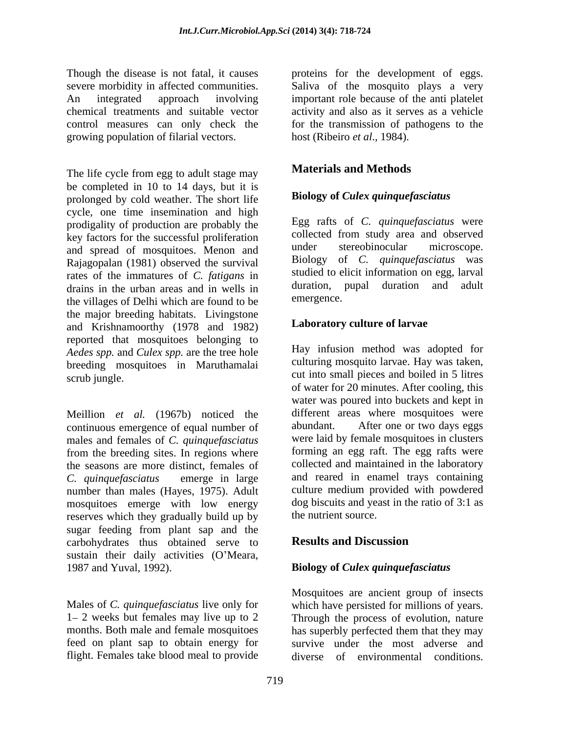Though the disease is not fatal, it causes proteins for the development of eggs. severe morbidity in affected communities. Saliva of the mosquito plays a very An integrated approach involving important role because of the anti platelet chemical treatments and suitable vector activity and also as it serves as a vehicle control measures can only check the for the transmission of pathogens to the growing population of filarial vectors.

The life cycle from egg to adult stage may be completed in 10 to 14 days, but it is prolonged by cold weather. The short life cycle, one time insemination and high prodigality of production are probably the key factors for the successful proliferation<br>
and optical processful proliferation<br>  $\frac{1}{2}$  collected from study area and observed<br>  $\frac{1}{2}$  collected from study area and observed<br>  $\frac{1}{2}$  collected from study area an and spread of mosquitoes. Menon and Rajagopalan (1981) observed the survival rates of the immatures of *C. fatigans* in drains in the urban areas and in wells in duration,<br>the villages of Delhi which are found to be emergence. the villages of Delhi which are found to be the major breeding habitats. Livingstone and Krishnamoorthy (1978 and 1982) reported that mosquitoes belonging to *Aedes spp.* and *Culex spp.* are the tree hole **EV** in the intervalse in **Apple 1** and *Aedes spp.* and *Culex spp.* are the tree hole **EV** intervalse culturing mosquito larvae. Hay was taken, breeding mosquitoes in Maruthamalai scrub jungle. The material cut into small pieces and boiled in 5 litres

Meillion *et al.* (1967b) noticed the different areas where mosquitoes were continuous emergence of equal number of abundant. After one or two days eggs continuous emergence of equal number of males and females of *C. quinquefasciatus* from the breeding sites. In regions where the seasons are more distinct, females of *C. quinquefasciatus* emerge in large and reared in enamel trays containing number than males (Hayes, 1975). Adult mosquitoes emerge with low energy reserves which they gradually build up by sugar feeding from plant sap and the<br>carbohydrates thus obtained serve to **Results and Discussion** carbohydrates thus obtained serve to sustain their daily activities (O'Meara, 1987 and Yuval, 1992). **Biology of** *Culex quinquefasciatus*

Males of *C. quinquefasciatus* live only for which have persisted for millions of years. 1– 2 weeks but females may live up to 2 Through the process of evolution, nature months. Both male and female mosquitoes has superbly perfected them that they may feed on plant sap to obtain energy for

host (Ribeiro *et al*., 1984).

## **Materials and Methods**

### **Biology of** *Culex quinquefasciatus*

Egg rafts of *C. quinquefasciatus* were collected from study area and observed under stereobinocular microscope. Biology of *C. quinquefasciatus* was studied to elicit information on egg, larval duration, pupal duration and adult emergence.

### **Laboratory culture of larvae**

Hay infusion method was adopted for culturing mosquito larvae. Hay was taken, cut into small pieces and boiled in <sup>5</sup> litres of water for 20 minutes. After cooling, this water was poured into buckets and kept in different areas where mosquitoes were abundant. After one or two days eggs were laid by female mosquitoes in clusters forming an egg raft. The egg rafts were collected and maintained in the laboratory culture medium provided with powdered dog biscuits and yeast in the ratio of 3:1 as the nutrient source.

### **Results and Discussion**

flight. Females take blood meal to provide diverse of environmental conditions. Mosquitoes are ancient group of insects survive under the most adverse and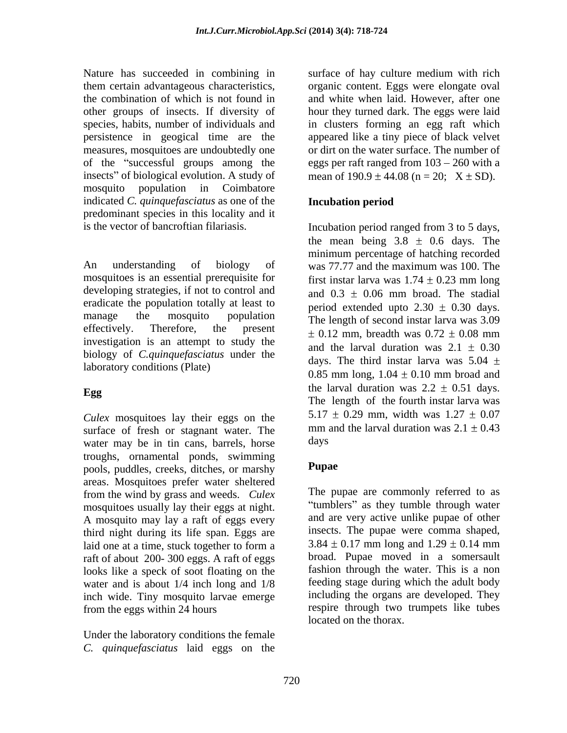Nature has succeeded in combining in surface of hay culture medium with rich them certain advantageous characteristics, organic content. Eggs were elongate oval the combination of which is not found in and white when laid. However, after one other groups of insects. If diversity of hour they turned dark. The eggs were laid species, habits, number of individuals and in clusters forming an egg raft which persistence in geogical time are the measures, mosquitoes are undoubtedly one or dirt on the water surface. The number of of the "successful groups among the eggs per raft ranged from  $103 - 260$  with a insects" of biological evolution. A study of mosquito population in Coimbatore indicated *C. quinquefasciatus* as one of the predominant species in this locality and it

An understanding of biology of was 77.77 and the maximum was 100. The mosquitoes is an essential prerequisite for developing strategies, if not to control and eradicate the population totally at least to effectively. Therefore, the present  $\pm 0.12$  mm, breadth was  $0.72 \pm 0.08$  mm investigation is an attempt to study the biology of *C.quinquefasciatus* under the laboratory conditions (Plate)

*Culex* mosquitoes lay their eggs on the surface of fresh or stagnant water. The mm a<br>water may be in tin cans barrels horse days water may be in tin cans, barrels, horse troughs, ornamental ponds, swimming<br>pools puddles creeks ditches or marshy<br>**Pupae** pools, puddles, creeks, ditches, or marshy areas. Mosquitoes prefer water sheltered from the wind by grass and weeds. *Culex* mosquitoes usually lay their eggs at night. A mosquito may lay a raft of eggs every third night during its life span. Eggs are raft of about 200- 300 eggs. A raft of eggs looks like a speck of soot floating on the water and is about 1/4 inch long and 1/8 inch wide. Tiny mosquito larvae emerge

Under the laboratory conditions the female *C. quinquefasciatus* laid eggs on the appeared like a tiny piece of black velvet mean of  $190.9 \pm 44.08$  (n = 20;  $X \pm SD$ ).

### **Incubation period**

is the vector of bancroftian filariasis. Incubation period ranged from 3 to 5 days, manage the mosquito population The length of second instar larva was 3.09 **Egg** Egg Equation was  $2.2 \pm 0.51$  days. the mean being  $3.8 \pm 0.6$  days. The minimum percentage of hatching recorded was 77.77 and the maximum was 100. The first instar larva was  $1.74 \pm 0.23$  mm long and  $0.3 \pm 0.06$  mm broad. The stadial period extended upto  $2.30 \pm 0.30$  days. 0.12 mm, breadth was  $0.72 \pm 0.08$  mm and the larval duration was  $2.1 \pm 0.30$ days. The third instar larva was  $5.04 \pm$ 0.85 mm long,  $1.04 \pm 0.10$  mm broad and the larval duration was  $2.2 \pm 0.51$  days. The length of the fourth instar larva was  $5.17 \pm 0.29$  mm, width was  $1.27 \pm 0.07$ mm and the larval duration was  $2.1 \pm 0.43$ days

### **Pupae**

laid one at a time, stuck together to form a  $3.84 \pm 0.17$  mm long and  $1.29 \pm 0.14$  mm from the eggs within 24 hours respire through two trumpets like tubes The pupae are commonly referred to as "tumblers" as they tumble through water and are very active unlike pupae of other insects. The pupae were comma shaped,  $3.84 \pm 0.17$  mm long and  $1.29 \pm 0.14$  mm broad. Pupae moved in a somersault fashion through the water. This is a non feeding stage during which the adult body including the organs are developed. They located on the thorax.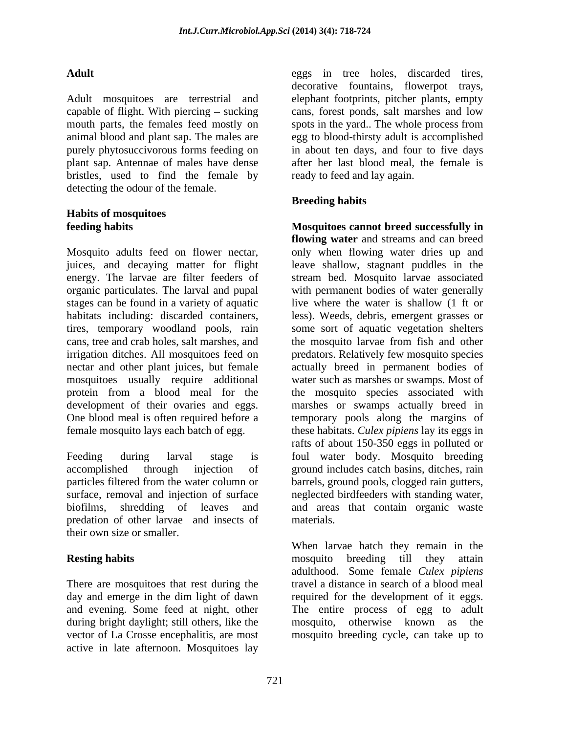Adult mosquitoes are terrestrial and elephant footprints, pitcher plants, empty capable of flight. With piercing  $-$  sucking mouth parts, the females feed mostly on spots in the vard. The whole process from animal blood and plant sap. The males are egg to blood-thirsty adult is accomplished purely phytosuccivorous forms feeding on plant sap. Antennae of males have dense bristles, used to find the female by detecting the odour of the female.

# **Habits of mosquitoes**

Mosquito adults feed on flower nectar, only when flowing water dries up and juices, and decaying matter for flight energy. The larvae are filter feeders of stream bed. Mosquito larvae associated organic particulates. The larval and pupal with permanent bodies of water generally stages can be found in a variety of aquatic live where the water is shallow (1 ft or habitats including: discarded containers, less). Weeds, debris, emergent grasses or tires, temporary woodland pools, rain some sort of aquatic vegetation shelters cans, tree and crab holes, salt marshes, and the mosquito larvae from fish and other irrigation ditches. All mosquitoes feed on nectar and other plant juices, but female actually breed in permanent bodies of mosquitoes usually require additional protein from a blood meal for the the mosquito species associated with development of their ovaries and eggs. marshes or swamps actually breed in One blood meal is often required before a temporary pools along the margins of

Feeding during larval stage is foul water body. Mosquito breeding accomplished through injection of ground includes catch basins, ditches, rain particles filtered from the water column or barrels, ground pools, clogged rain gutters, surface, removal and injection of surface neglected birdfeeders with standing water, biofilms, shredding of leaves and and areas that contain organic waste predation of other larvae and insects of their own size or smaller.

There are mosquitoes that rest during the day and emerge in the dim light of dawn during bright daylight; still others, like the mosquito, otherwise known as the vector of La Crosse encephalitis, are most mosquito breeding cycle, can take up toactive in late afternoon. Mosquitoes lay

Adult eggs in tree holes, discarded tires, decorative fountains, flowerpot trays, cans, forest ponds, salt marshes and low spots in the yard.. The whole process from in about ten days, and four to five days after her last blood meal, the female is ready to feed and lay again.

### **Breeding habits**

**feeding habits Mosquitoes cannot breed successfully in** female mosquito lays each batch of egg. these habitats. *Culex pipiens* lay its eggs in **flowing water** and streams and can breed leave shallow, stagnant puddles in the predators. Relatively few mosquito species water such as marshes or swamps. Most of rafts of about 150-350 eggs in polluted or materials.

**Resting habits Resting habits Resting habits Resting habits Resting habits Resting habits Resting habits Resting habits Resting habits Resting habits Resting habits Resting habits Resting habits** and evening. Some feed at night, other The entire process of egg to adult When larvae hatch they remain in the mosquito breeding till they attain adulthood. Some female *Culex pipiens* travel a distance in search of a blood meal required for the development of it eggs. mosquito, otherwise known as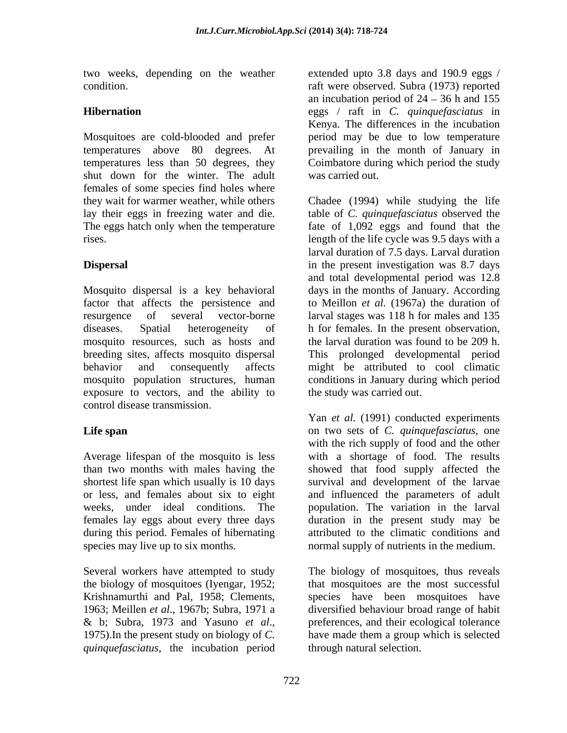Mosquitoes are cold-blooded and prefer shut down for the winter. The adult was carried out. females of some species find holes where

exposure to vectors, and the ability to control disease transmission.

females lay eggs about every three days during this period. Females of hibernating species may live up to six months. normal supply of nutrients in the medium.

*quinquefasciatus,* the incubation period

two weeks, depending on the weather extended upto 3.8 days and 190.9 eggs / condition. raft were observed. Subra (1973) reported **Hibernation** eggs / raft in *C. quinquefasciatus* in temperatures above 80 degrees. At prevailing in the month of January in temperatures less than 50 degrees, they Coimbatore during which period the study an incubation period of  $24 - 36$  h and 155 Kenya. The differences in the incubation period may be due to low temperature was carried out.

they wait for warmer weather, while others Chadee (1994) while studying the life lay their eggs in freezing water and die. table of *C. quinquefasciatus* observed the The eggs hatch only when the temperature fate of 1,092 eggs and found that the rises. length of the life cycle was 9.5 days with a **Dispersal** in the present investigation was 8.7 days Mosquito dispersal is a key behavioral days in the months of January.According factor that affects the persistence and to Meillon *et al.* (1967a) the duration of resurgence of several vector-borne larval stages was 118 h for males and 135 diseases. Spatial heterogeneity of h for females. In the present observation, mosquito resources, such as hosts and the larval duration was found to be 209 h. breeding sites, affects mosquito dispersal This prolonged developmental period behavior and consequently affects might be attributed to cool climatic mosquito population structures, human conditions in January during which period larval duration of 7.5 days. Larval duration and total developmental period was 12.8 the study was carried out.

**Life span** on two sets of *C. quinquefasciatus,* one Average lifespan of the mosquito is less with a shortage of food. The results than two months with males having the showed that food supply affected the shortest life span which usually is 10 days survival and development of the larvae or less, and females about six to eight and influenced the parameters of adult weeks, under ideal conditions. The population. The variation in the larval Yan *et al.* (1991) conducted experiments with the rich supply of food and the other duration in the present study may be attributed to the climatic conditions and

Several workers have attempted to study The biology of mosquitoes, thus reveals the biology of mosquitoes (Iyengar, 1952; that mosquitoes are the most successful Krishnamurthi and Pal, 1958; Clements, species have been mosquitoes have 1963; Meillen *et al.*, 1967b; Subra, 1971 a diversified behaviour broad range of habit & b; Subra, <sup>1973</sup> and Yasuno *et al*., 1975).In the present study on biology of *C.*  preferences, and their ecological tolerance have made them a group which is selected through natural selection.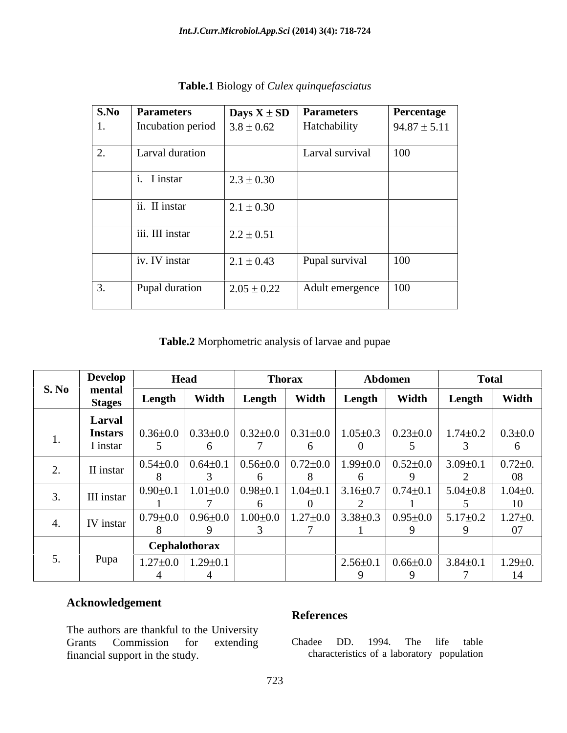|    | <b>S.No Parameters</b>           | $\log X$ $\pm$ SD Parameters |                       | Percentage       |
|----|----------------------------------|------------------------------|-----------------------|------------------|
| ı. | Incubation period $3.8 \pm 0.62$ |                              | Hatchability          | $94.87 \pm 5.11$ |
|    | Larval duration                  |                              | Larval survival       | 100              |
|    | I instar                         | $2.3 \pm 0.30$               |                       |                  |
|    | ii. II instar                    | $2.1 \pm 0.30$               |                       |                  |
|    | iii. III instar                  | $2.2 \pm 0.51$               |                       |                  |
|    | iv. IV instar                    | $2.1 \pm 0.43$               | Pupal survival        | $\vert$ 100      |
|    | Pupal duration                   | $2.05 \pm 0.22$              | Adult emergence   100 |                  |

**Table.1** Biology of *Culex quinquefasciatus*

 **Table.2** Morphometric analysis of larvae and pupae

| <b>S. No</b> | Develop                  | Head                                                                                                          |                                          | <b>Thorax</b> |       | Abdomen        |                | <b>Total</b>                                                                                                                                                                                                                                                                                                                      |                                  |
|--------------|--------------------------|---------------------------------------------------------------------------------------------------------------|------------------------------------------|---------------|-------|----------------|----------------|-----------------------------------------------------------------------------------------------------------------------------------------------------------------------------------------------------------------------------------------------------------------------------------------------------------------------------------|----------------------------------|
|              | mental<br><b>Stages</b>  | Length                                                                                                        | Width                                    | Length        | Width | Length         | Width          | Length '                                                                                                                                                                                                                                                                                                                          | Width                            |
|              | Larval<br><b>Instars</b> |                                                                                                               |                                          |               |       |                |                | $0.36\pm0.0$ $0.33\pm0.0$ $0.32\pm0.0$ $0.31\pm0.0$ $1.05\pm0.3$ $0.23\pm0.0$ $1.74\pm0.2$ $0.3\pm0.0$                                                                                                                                                                                                                            |                                  |
|              | I instar                 |                                                                                                               |                                          |               |       |                |                |                                                                                                                                                                                                                                                                                                                                   |                                  |
|              | II instar                | $\vert 0.54\pm0.0 \vert 0.64\pm0.1 \vert 0.56\pm0.0 \vert 0.72\pm0.0 \vert 1.99\pm0.0 \vert 0.52\pm0.0 \vert$ |                                          |               |       |                |                | $3.09 \pm 0.1$                                                                                                                                                                                                                                                                                                                    | $0.72 \pm 0.$<br>08 <sup>1</sup> |
|              | III instar               | $0.90 \pm 0.1$                                                                                                | $1.01\pm0.0$ 0.98 $\pm0.1$ 1.04 $\pm0.1$ |               |       | $3.16 \pm 0.7$ | $0.74 \pm 0.1$ | $5.04 \pm 0.8$                                                                                                                                                                                                                                                                                                                    | $1.04 \pm 0.$                    |
|              | IV instar                |                                                                                                               |                                          |               |       |                |                | $\vert 0.79 \pm 0.0 \vert 0.96 \pm 0.0 \vert 1.00 \pm 0.0 \vert 1.27 \pm 0.0 \vert 3.38 \pm 0.3 \vert 0.95 \pm 0.0 \vert 5.17 \pm 0.2 \vert 0.01 \pm 0.01 \vert 0.01 \pm 0.01 \vert 0.01 \pm 0.01 \vert 0.01 \pm 0.01 \vert 0.01 \pm 0.01 \vert 0.01 \pm 0.01 \vert 0.01 \pm 0.01 \vert 0.01 \pm 0.01 \vert 0.01 \pm 0.01 \vert $ | $1.27 \pm 0.$                    |
|              |                          |                                                                                                               | Cephalothorax                            |               |       |                |                |                                                                                                                                                                                                                                                                                                                                   |                                  |
| $\cup$ .     | Pupa                     |                                                                                                               | $1.27\pm0.0$   1.29 $\pm0.1$             |               |       | $2.56 \pm 0.1$ |                | $\vert 0.66 \pm 0.0 \vert 3.84 \pm 0.1 \vert 1.29 \pm 0.$                                                                                                                                                                                                                                                                         |                                  |
|              |                          |                                                                                                               |                                          |               |       |                |                |                                                                                                                                                                                                                                                                                                                                   |                                  |

### **Acknowledgement**

The authors are thankful to the University<br>
Grants Commission for extending Chadee DD. 1994. Grants Commission for extending Chadee DD. 1994. The life table financial support in the study. characteristics of a laboratory population

#### **References**

Chadee DD. 1994. The life table